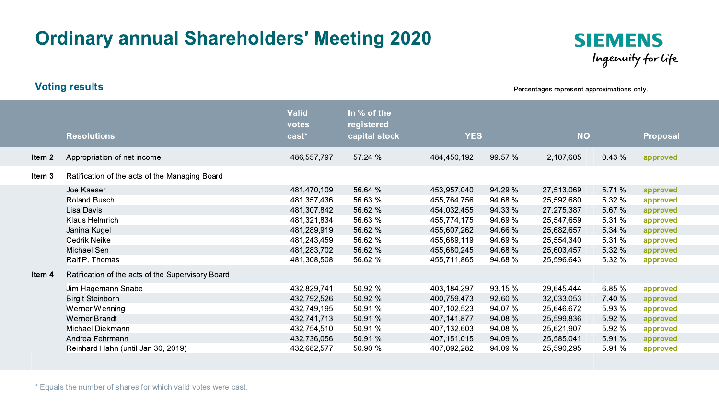## Ordinary annual Shareholders' Meeting 2020



Percentages represent approximations only.

|        | <b>Resolutions</b>                                                                                                                                                                  | <b>Valid</b><br>votes<br>cast*                                                                                       | In % of the<br>registered<br>capital stock                                           | <b>YES</b>                                                                                                           |                                                                                      | <b>NO</b>                                                                                                    |                                                                           | Proposal                                                                                     |
|--------|-------------------------------------------------------------------------------------------------------------------------------------------------------------------------------------|----------------------------------------------------------------------------------------------------------------------|--------------------------------------------------------------------------------------|----------------------------------------------------------------------------------------------------------------------|--------------------------------------------------------------------------------------|--------------------------------------------------------------------------------------------------------------|---------------------------------------------------------------------------|----------------------------------------------------------------------------------------------|
| Item 2 | Appropriation of net income                                                                                                                                                         | 486,557,797                                                                                                          | 57.24 %                                                                              | 484,450,192                                                                                                          | 99.57 %                                                                              | 2,107,605                                                                                                    | 0.43%                                                                     | approved                                                                                     |
| Item 3 | Ratification of the acts of the Managing Board                                                                                                                                      |                                                                                                                      |                                                                                      |                                                                                                                      |                                                                                      |                                                                                                              |                                                                           |                                                                                              |
|        | Joe Kaeser<br>Roland Busch<br>Lisa Davis<br>Klaus Helmrich<br>Janina Kugel<br>Cedrik Neike<br>Michael Sen<br>Ralf P. Thomas                                                         | 481,470,109<br>481,357,436<br>481,307,842<br>481,321,834<br>481,289,919<br>481,243,459<br>481,283,702<br>481,308,508 | 56.64 %<br>56.63 %<br>56.62 %<br>56.63 %<br>56.62 %<br>56.62 %<br>56.62 %<br>56.62 % | 453,957,040<br>455,764,756<br>454,032,455<br>455,774,175<br>455,607,262<br>455,689,119<br>455,680,245<br>455,711,865 | 94.29 %<br>94.68 %<br>94.33 %<br>94.69 %<br>94.66 %<br>94.69 %<br>94.68 %<br>94.68 % | 27,513,069<br>25,592,680<br>27,275,387<br>25,547,659<br>25,682,657<br>25,554,340<br>25,603,457<br>25,596,643 | 5.71 %<br>5.32%<br>5.67 %<br>5.31 %<br>5.34 %<br>5.31%<br>5.32 %<br>5.32% | approved<br>approved<br>approved<br>approved<br>approved<br>approved<br>approved<br>approved |
| ltem 4 | Ratification of the acts of the Supervisory Board<br>Jim Hagemann Snabe<br><b>Birgit Steinborn</b><br>Werner Wenning<br><b>Werner Brandt</b><br>Michael Diekmann<br>Andrea Fehrmann | 432,829,741<br>432,792,526<br>432,749,195<br>432,741,713<br>432,754,510<br>432,736,056                               | 50.92 %<br>50.92 %<br>50.91 %<br>50.91 %<br>50.91 %<br>50.91 %                       | 403,184,297<br>400,759,473<br>407,102,523<br>407,141,877<br>407,132,603<br>407,151,015                               | 93.15 %<br>92.60 %<br>94.07 %<br>94.08 %<br>94.08 %<br>94.09 %                       | 29,645,444<br>32,033,053<br>25,646,672<br>25,599,836<br>25,621,907<br>25,585,041                             | 6.85 %<br>7.40 %<br>5.93 %<br>5.92 %<br>5.92%<br>5.91%                    | approved<br>approved<br>approved<br>approved<br>approved<br>approved                         |
|        | Reinhard Hahn (until Jan 30, 2019)                                                                                                                                                  | 432,682,577                                                                                                          | 50.90 %                                                                              | 407,092,282                                                                                                          | 94.09 %                                                                              | 25,590,295                                                                                                   | 5.91 %                                                                    | approved                                                                                     |

Voting results

\* Equals the number of shares for which valid votes were cast.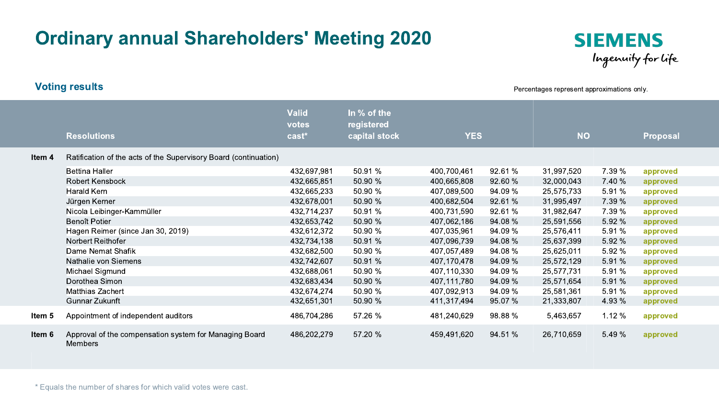## Ordinary annual Shareholders' Meeting 2020



Percentages represent approximations only.

|        | <b>Resolutions</b>                                                | <b>Valid</b><br>votes<br>$\text{cast}^*$ | In % of the<br>registered<br>capital stock | <b>YES</b>  |         | <b>NO</b>  |        | Proposal |
|--------|-------------------------------------------------------------------|------------------------------------------|--------------------------------------------|-------------|---------|------------|--------|----------|
| ltem 4 | Ratification of the acts of the Supervisory Board (continuation)  |                                          |                                            |             |         |            |        |          |
|        | <b>Bettina Haller</b>                                             | 432,697,981                              | 50.91 %                                    | 400,700,461 | 92.61 % | 31,997,520 | 7.39 % | approved |
|        | <b>Robert Kensbock</b>                                            | 432,665,851                              | 50.90 %                                    | 400,665,808 | 92.60 % | 32,000,043 | 7.40 % | approved |
|        | Harald Kern                                                       | 432,665,233                              | 50.90 %                                    | 407,089,500 | 94.09 % | 25,575,733 | 5.91 % | approved |
|        | Jürgen Kerner                                                     | 432,678,001                              | 50.90 %                                    | 400,682,504 | 92.61 % | 31,995,497 | 7.39 % | approved |
|        | Nicola Leibinger-Kammüller                                        | 432,714,237                              | 50.91 %                                    | 400,731,590 | 92.61 % | 31,982,647 | 7.39 % | approved |
|        | Benoît Potier                                                     | 432,653,742                              | 50.90 %                                    | 407,062,186 | 94.08 % | 25,591,556 | 5.92 % | approved |
|        | Hagen Reimer (since Jan 30, 2019)                                 | 432,612,372                              | 50.90 %                                    | 407,035,961 | 94.09 % | 25,576,411 | 5.91%  | approved |
|        | Norbert Reithofer                                                 | 432,734,138                              | 50.91 %                                    | 407,096,739 | 94.08 % | 25,637,399 | 5.92 % | approved |
|        | Dame Nemat Shafik                                                 | 432,682,500                              | 50.90 %                                    | 407,057,489 | 94.08 % | 25,625,011 | 5.92 % | approved |
|        | Nathalie von Siemens                                              | 432,742,607                              | 50.91 %                                    | 407,170,478 | 94.09 % | 25,572,129 | 5.91 % | approved |
|        | Michael Sigmund                                                   | 432,688,061                              | 50.90 %                                    | 407,110,330 | 94.09 % | 25,577,731 | 5.91%  | approved |
|        | Dorothea Simon                                                    | 432,683,434                              | 50.90 %                                    | 407,111,780 | 94.09 % | 25,571,654 | 5.91 % | approved |
|        | <b>Matthias Zachert</b>                                           | 432,674,274                              | 50.90 %                                    | 407,092,913 | 94.09 % | 25,581,361 | 5.91 % | approved |
|        | Gunnar Zukunft                                                    | 432,651,301                              | 50.90 %                                    | 411,317,494 | 95.07 % | 21,333,807 | 4.93 % | approved |
| ltem 5 | Appointment of independent auditors                               | 486,704,286                              | 57.26 %                                    | 481,240,629 | 98.88 % | 5,463,657  | 1.12 % | approved |
| ltem 6 | Approval of the compensation system for Managing Board<br>Members | 486,202,279                              | 57.20 %                                    | 459,491,620 | 94.51 % | 26,710,659 | 5.49 % | approved |

\* Equals the number of shares for which valid votes were cast.

Voting results